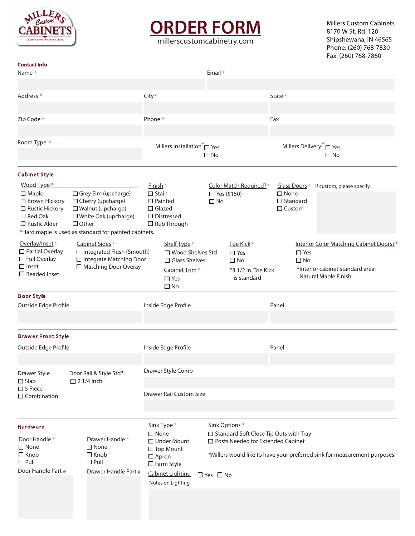

## **ORDER FORM**

millerscustomcabinetry.com

**Millers Custom Cabinets** 8170 W St. Rd. 120 Shipshewana, IN 46565 Phone: (260) 768-7830 Fax: (260) 768-7860

| <b>Contact Info</b><br>Name *                                                                                                                                                                |                                                                                                                                                                           |                                                                                                                  |                                                                                                                                                                       |                                                                                                                       |  | Email *                |                                                                                                                                                              |               |                                                  |                                                                                                      |  |  |
|----------------------------------------------------------------------------------------------------------------------------------------------------------------------------------------------|---------------------------------------------------------------------------------------------------------------------------------------------------------------------------|------------------------------------------------------------------------------------------------------------------|-----------------------------------------------------------------------------------------------------------------------------------------------------------------------|-----------------------------------------------------------------------------------------------------------------------|--|------------------------|--------------------------------------------------------------------------------------------------------------------------------------------------------------|---------------|--------------------------------------------------|------------------------------------------------------------------------------------------------------|--|--|
|                                                                                                                                                                                              |                                                                                                                                                                           |                                                                                                                  |                                                                                                                                                                       |                                                                                                                       |  |                        |                                                                                                                                                              |               |                                                  |                                                                                                      |  |  |
| Address *                                                                                                                                                                                    |                                                                                                                                                                           |                                                                                                                  | City*                                                                                                                                                                 |                                                                                                                       |  |                        |                                                                                                                                                              |               | State *                                          |                                                                                                      |  |  |
|                                                                                                                                                                                              |                                                                                                                                                                           |                                                                                                                  |                                                                                                                                                                       |                                                                                                                       |  |                        |                                                                                                                                                              |               |                                                  |                                                                                                      |  |  |
| Zip Code *                                                                                                                                                                                   |                                                                                                                                                                           |                                                                                                                  | Phone *                                                                                                                                                               |                                                                                                                       |  |                        |                                                                                                                                                              | Fax           |                                                  |                                                                                                      |  |  |
| Room Type *                                                                                                                                                                                  |                                                                                                                                                                           |                                                                                                                  | Millers Installation $\tilde{}$ $\Box$ Yes<br>$\Box$ No                                                                                                               |                                                                                                                       |  |                        |                                                                                                                                                              |               | Millers Delivery <sup>*</sup> □ Yes<br>$\Box$ No |                                                                                                      |  |  |
| <b>Cabinet Style</b>                                                                                                                                                                         |                                                                                                                                                                           |                                                                                                                  |                                                                                                                                                                       |                                                                                                                       |  |                        |                                                                                                                                                              |               |                                                  |                                                                                                      |  |  |
| Wood Type*                                                                                                                                                                                   |                                                                                                                                                                           |                                                                                                                  | Finish <sup>*</sup>                                                                                                                                                   |                                                                                                                       |  | Color Match Required?* |                                                                                                                                                              | Glass Doors * | If custom, please specify                        |                                                                                                      |  |  |
| $\Box$ Maple<br>$\Box$ Brown Hickory<br>$\Box$ Rustic Hickory<br>$\Box$ Red Oak<br>$\Box$ Rustic Alder                                                                                       | Grey Elm (upcharge)<br>□ Cherry (upcharge)<br>□ Walnut (upcharge)<br>$\Box$ White Oak (upcharge)<br>$\Box$ Other<br>*Hard maple is used as standard for painted cabinets. |                                                                                                                  |                                                                                                                                                                       | $\Box$ Stain<br>$\Box$ Painted<br>$\Box$ Glazed<br>$\Box$ Distressed<br>$\Box$ Rub Through                            |  |                        | $\Box$ Yes (\$150)<br>$\square$ No                                                                                                                           |               | $\Box$ None<br>□ Standard<br>$\Box$ Custom       |                                                                                                      |  |  |
| Overlay/Inset*<br>Partial Overlay<br>□ Full Overlay<br>$\Box$ Inset<br>$\Box$ Beaded Inset                                                                                                   |                                                                                                                                                                           | Cabinet Sides <sup>*</sup><br>□ Integrated Flush (Smooth)<br>□ Integrate Matching Door<br>□ Matching Door Overay |                                                                                                                                                                       | Shelf Type *<br>□ Wood Shelves Std<br>$\Box$ Glass Shelves<br>Cabinet Trim <sup>*</sup><br>$\Box$ Yes<br>$\square$ No |  |                        | Toe Kick*<br>$\Box$ Yes<br>□ No<br>*3 1/2 in. Toe Kick<br>is standard                                                                                        |               | $\Box$ Yes<br>$\Box$ No                          | Interior Color Matching Cabinet Doors? *<br>*Interior cabinet standard area:<br>Natural Maple Finish |  |  |
| Door Style                                                                                                                                                                                   |                                                                                                                                                                           |                                                                                                                  |                                                                                                                                                                       |                                                                                                                       |  |                        |                                                                                                                                                              |               |                                                  |                                                                                                      |  |  |
| Outside Edge Profile                                                                                                                                                                         |                                                                                                                                                                           |                                                                                                                  | Inside Edge Profile                                                                                                                                                   |                                                                                                                       |  |                        |                                                                                                                                                              |               | Panel                                            |                                                                                                      |  |  |
|                                                                                                                                                                                              |                                                                                                                                                                           |                                                                                                                  |                                                                                                                                                                       |                                                                                                                       |  |                        |                                                                                                                                                              |               |                                                  |                                                                                                      |  |  |
| <b>Drawer Front Style</b>                                                                                                                                                                    |                                                                                                                                                                           |                                                                                                                  |                                                                                                                                                                       |                                                                                                                       |  |                        |                                                                                                                                                              |               |                                                  |                                                                                                      |  |  |
| Outside Edge Profile                                                                                                                                                                         |                                                                                                                                                                           |                                                                                                                  |                                                                                                                                                                       | Inside Edge Profile                                                                                                   |  |                        |                                                                                                                                                              | Panel         |                                                  |                                                                                                      |  |  |
| Drawer Style<br>$\Box$ Slab                                                                                                                                                                  | Door Rail & Style Std?<br>$\Box$ 2 1/4 inch                                                                                                                               |                                                                                                                  |                                                                                                                                                                       | Drawer Style Comb                                                                                                     |  |                        |                                                                                                                                                              |               |                                                  |                                                                                                      |  |  |
| $\Box$ 5 Piece<br>$\Box$ Combination                                                                                                                                                         |                                                                                                                                                                           |                                                                                                                  | <b>Drawer Rail Custom Size</b>                                                                                                                                        |                                                                                                                       |  |                        |                                                                                                                                                              |               |                                                  |                                                                                                      |  |  |
| Hardware                                                                                                                                                                                     |                                                                                                                                                                           |                                                                                                                  |                                                                                                                                                                       | Sink Type *                                                                                                           |  | Sink Options *         |                                                                                                                                                              |               |                                                  |                                                                                                      |  |  |
| Door Handle <sup>*</sup><br>Drawer Handle <sup>*</sup><br>$\square$ None<br>□ None<br>$\Box$ Knob<br>$\Box$ Knob<br>$\Box$ Pull<br>$\Box$ Pull<br>Door Handle Part #<br>Drawer Handle Part # |                                                                                                                                                                           |                                                                                                                  | $\Box$ None<br>$\Box$ Under Mount<br>$\Box$ Top Mount<br>$\Box$ Apron<br>$\square$ Farm Style<br><b>Cabinet Lighting</b><br>$\Box$ Yes $\Box$ No<br>Notes on Lighting |                                                                                                                       |  |                        | □ Standard Soft Close Tip Outs with Tray<br>□ Posts Needed for Extended Cabinet<br>*Millers would like to have your preferred sink for measurement purposes. |               |                                                  |                                                                                                      |  |  |
|                                                                                                                                                                                              |                                                                                                                                                                           |                                                                                                                  |                                                                                                                                                                       |                                                                                                                       |  |                        |                                                                                                                                                              |               |                                                  |                                                                                                      |  |  |